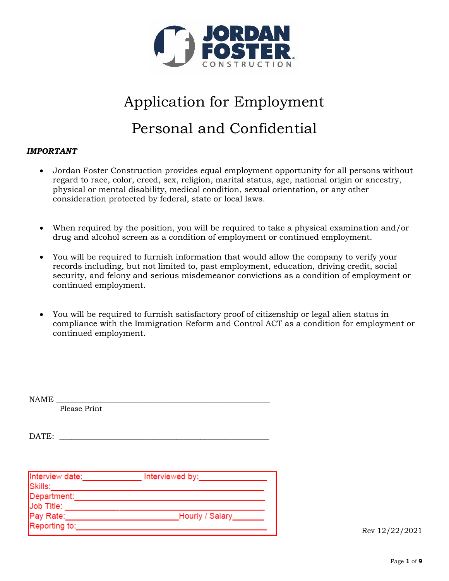

# Application for Employment Personal and Confidential

#### *IMPORTANT*

- Jordan Foster Construction provides equal employment opportunity for all persons without regard to race, color, creed, sex, religion, marital status, age, national origin or ancestry, physical or mental disability, medical condition, sexual orientation, or any other consideration protected by federal, state or local laws.
- When required by the position, you will be required to take a physical examination and/or drug and alcohol screen as a condition of employment or continued employment.
- You will be required to furnish information that would allow the company to verify your records including, but not limited to, past employment, education, driving credit, social security, and felony and serious misdemeanor convictions as a condition of employment or continued employment.
- You will be required to furnish satisfactory proof of citizenship or legal alien status in compliance with the Immigration Reform and Control ACT as a condition for employment or continued employment.

| DATE:                      |                 |
|----------------------------|-----------------|
| Interview date:<br>Skills: | Interviewed by: |
| Department:<br>Job Title:  |                 |
| Pay Rate:<br>Reporting to: | Hourly / Salary |

NAME \_\_\_\_\_\_\_\_\_\_\_\_\_\_\_\_\_\_\_\_\_\_\_\_\_\_\_\_\_\_\_\_\_\_\_\_\_\_\_\_\_\_\_\_\_\_\_\_\_\_\_\_\_

Please Print

Rev 12/22/2021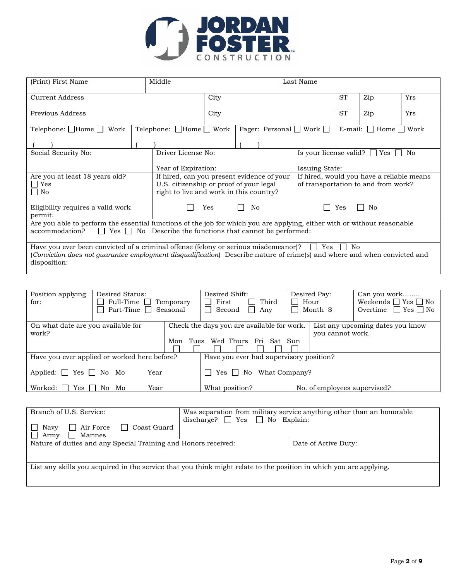

| (Print) First Name                                                                                                                                                                                                                           |  | Middle                                                                                                                           |      |                                    |  | Last Name             |                                                                                  |                                          |                |
|----------------------------------------------------------------------------------------------------------------------------------------------------------------------------------------------------------------------------------------------|--|----------------------------------------------------------------------------------------------------------------------------------|------|------------------------------------|--|-----------------------|----------------------------------------------------------------------------------|------------------------------------------|----------------|
| <b>Current Address</b>                                                                                                                                                                                                                       |  |                                                                                                                                  | City |                                    |  |                       | <b>ST</b>                                                                        | Zip                                      | <b>Yrs</b>     |
| Previous Address                                                                                                                                                                                                                             |  |                                                                                                                                  | City |                                    |  |                       | <b>ST</b>                                                                        | Zip                                      | <b>Yrs</b>     |
| Telephone: $\Box$ Home $\Box$<br>Work                                                                                                                                                                                                        |  | $Telephone:$ Home Work                                                                                                           |      | Pager: Personal $\Box$ Work $\Box$ |  |                       | $E$ -mail: $\Box$                                                                | Home                                     | $\exists$ Work |
|                                                                                                                                                                                                                                              |  |                                                                                                                                  |      |                                    |  |                       |                                                                                  |                                          |                |
| Social Security No:                                                                                                                                                                                                                          |  | Driver License No:<br>Year of Expiration:                                                                                        |      |                                    |  | <b>Issuing State:</b> |                                                                                  | Is your license valid? $\Box$ Yes $\Box$ | No             |
| Are you at least 18 years old?<br>$\Box$ Yes<br>No.                                                                                                                                                                                          |  | If hired, can you present evidence of your<br>U.S. citizenship or proof of your legal<br>right to live and work in this country? |      |                                    |  |                       | If hired, would you have a reliable means<br>of transportation to and from work? |                                          |                |
| Eligibility requires a valid work<br>permit.                                                                                                                                                                                                 |  |                                                                                                                                  | Yes  | No                                 |  |                       | Yes                                                                              | No<br>$\mathsf{L}$                       |                |
| Are you able to perform the essential functions of the job for which you are applying, either with or without reasonable<br>$\Box$ Yes $\Box$ No Describe the functions that cannot be performed:<br>accommodation?                          |  |                                                                                                                                  |      |                                    |  |                       |                                                                                  |                                          |                |
| Have you ever been convicted of a criminal offense (felony or serious misdemeanor)?<br>Yes<br>No<br>(Conviction does not guarantee employment disqualification) Describe nature of crime(s) and where and when convicted and<br>disposition: |  |                                                                                                                                  |      |                                    |  |                       |                                                                                  |                                          |                |

| Position applying<br>for:                   | Desired Status:<br>Full-Time $\Box$ Temporary<br>Part-Time □ Seasonal |             | Desired Shift:<br>Third<br>First<br>Second<br>Any                        | Desired Pay:<br>Hour<br>$\Box$ Month \$ | Can you work<br>Weekends $\Box$ Yes $\Box$ No<br>Overtime $\Box$ Yes $\Box$ No |
|---------------------------------------------|-----------------------------------------------------------------------|-------------|--------------------------------------------------------------------------|-----------------------------------------|--------------------------------------------------------------------------------|
| On what date are you available for<br>work? |                                                                       | Tues<br>Mon | Check the days you are available for work.<br>Wed Thurs<br>Fri Sat Sun   | you cannot work.                        | List any upcoming dates you know                                               |
| Applied: $\Box$ Yes $\Box$ No               | Have you ever applied or worked here before?<br>Year<br>Mo            |             | Have you ever had supervisory position?<br>What Company?<br>No<br>Yes 11 |                                         |                                                                                |
| Worked:<br>Yes                              | No.<br>Mo<br>Year                                                     |             | What position?                                                           | No. of employees supervised?            |                                                                                |

| Branch of U.S. Service:                                                                                            | Was separation from military service anything other than an honorable<br>discharge? $\Box$ Yes $\Box$ No Explain: |  |
|--------------------------------------------------------------------------------------------------------------------|-------------------------------------------------------------------------------------------------------------------|--|
| Air Force<br>Coast Guard<br>Navy<br>Marines<br>Army                                                                |                                                                                                                   |  |
| Nature of duties and any Special Training and Honors received:                                                     | Date of Active Duty:                                                                                              |  |
| List any skills you acquired in the service that you think might relate to the position in which you are applying. |                                                                                                                   |  |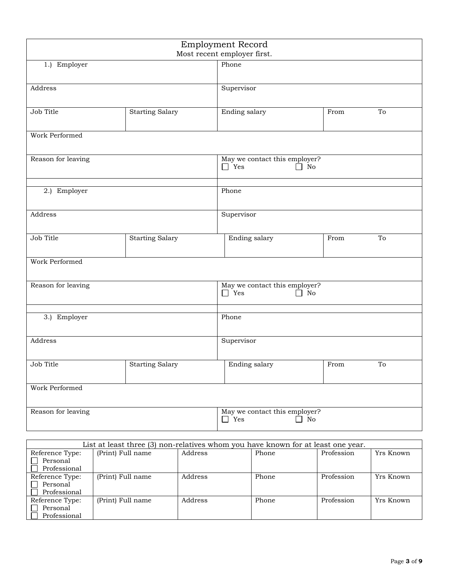|                                             |                                                                                  | <b>Employment Record</b><br>Most recent employer first. |                               |              |            |                     |
|---------------------------------------------|----------------------------------------------------------------------------------|---------------------------------------------------------|-------------------------------|--------------|------------|---------------------|
| 1.) Employer                                |                                                                                  | Phone                                                   |                               |              |            |                     |
| Address                                     |                                                                                  | Supervisor                                              |                               |              |            |                     |
| Job Title                                   | <b>Starting Salary</b>                                                           | Ending salary                                           |                               |              | From       | To                  |
| Work Performed                              |                                                                                  |                                                         |                               |              |            |                     |
| Reason for leaving                          |                                                                                  | $\Box$ Yes                                              | May we contact this employer? | No<br>$\Box$ |            |                     |
| 2.) Employer                                |                                                                                  | Phone                                                   |                               |              |            |                     |
| Address                                     |                                                                                  | Supervisor                                              |                               |              |            |                     |
| Job Title                                   | <b>Starting Salary</b>                                                           |                                                         | Ending salary                 |              | From       | To                  |
| Work Performed                              |                                                                                  |                                                         |                               |              |            |                     |
| Reason for leaving                          |                                                                                  | $\Box$ Yes                                              | May we contact this employer? | $\Box$ No    |            |                     |
| 3.) Employer                                |                                                                                  | Phone                                                   |                               |              |            |                     |
| Address                                     |                                                                                  | Supervisor                                              |                               |              |            |                     |
| Job Title                                   | <b>Starting Salary</b>                                                           |                                                         | Ending salary                 |              | From       | $\operatorname{To}$ |
| Work Performed                              |                                                                                  |                                                         |                               |              |            |                     |
| Reason for leaving                          |                                                                                  | $\Box$ Yes                                              | May we contact this employer? | No           |            |                     |
|                                             |                                                                                  |                                                         |                               |              |            |                     |
|                                             | List at least three (3) non-relatives whom you have known for at least one year. |                                                         |                               |              |            |                     |
| Reference Type:<br>$\Box$ (Print) Full name | Address                                                                          |                                                         | Phone                         |              | Profession | Yrs Known           |

|                     | List at least three (3) non-relatives whom you have known for at least one year. |         |       |            |           |
|---------------------|----------------------------------------------------------------------------------|---------|-------|------------|-----------|
| Reference Type:     | (Print) Full name                                                                | Address | Phone | Profession | Yrs Known |
| Personal<br>$\perp$ |                                                                                  |         |       |            |           |
| <b>Professional</b> |                                                                                  |         |       |            |           |
| Reference Type:     | (Print) Full name                                                                | Address | Phone | Profession | Yrs Known |
| Personal<br>$\pm 1$ |                                                                                  |         |       |            |           |
| Professional        |                                                                                  |         |       |            |           |
| Reference Type:     | (Print) Full name                                                                | Address | Phone | Profession | Yrs Known |
| Personal            |                                                                                  |         |       |            |           |
| Professional        |                                                                                  |         |       |            |           |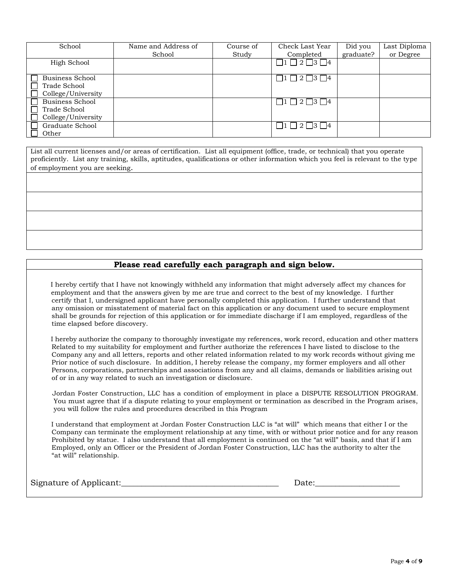| School                                                                                          | Name and Address of | Course of | Check Last Year                     | Did you   | Last Diploma |
|-------------------------------------------------------------------------------------------------|---------------------|-----------|-------------------------------------|-----------|--------------|
|                                                                                                 | School              | Study     | Completed                           | graduate? | or Degree    |
| High School                                                                                     |                     |           | $\Box$ 1 $\Box$ 2 $\Box$ 3 $\Box$ 4 |           |              |
| Business School<br>$\mathsf{L}$<br>Trade School<br>$\mathsf{L}$<br>College/University<br>$\Box$ |                     |           | $\Box$ 1 $\Box$ 2 $\Box$ 3 $\Box$ 4 |           |              |
| <b>Business School</b><br>$\Box$<br>Trade School<br>$\Box$<br>College/University<br>$\Box$      |                     |           | $\Box$ 1 $\Box$ 2 $\Box$ 3 $\Box$ 4 |           |              |
| Graduate School<br>$\Box$<br>Other                                                              |                     |           | $\Box$ 1 $\Box$ 2 $\Box$ 3 $\Box$ 4 |           |              |

List all current licenses and/or areas of certification. List all equipment (office, trade, or technical) that you operate proficiently. List any training, skills, aptitudes, qualifications or other information which you feel is relevant to the type of employment you are seeking.

#### **Please read carefully each paragraph and sign below.**

I hereby certify that I have not knowingly withheld any information that might adversely affect my chances for employment and that the answers given by me are true and correct to the best of my knowledge. I further certify that I, undersigned applicant have personally completed this application. I further understand that any omission or misstatement of material fact on this application or any document used to secure employment shall be grounds for rejection of this application or for immediate discharge if I am employed, regardless of the time elapsed before discovery.

 I hereby authorize the company to thoroughly investigate my references, work record, education and other matters Related to my suitability for employment and further authorize the references I have listed to disclose to the Company any and all letters, reports and other related information related to my work records without giving me Prior notice of such disclosure. In addition, I hereby release the company, my former employers and all other Persons, corporations, partnerships and associations from any and all claims, demands or liabilities arising out of or in any way related to such an investigation or disclosure.

 Jordan Foster Construction, LLC has a condition of employment in place a DISPUTE RESOLUTION PROGRAM. You must agree that if a dispute relating to your employment or termination as described in the Program arises, you will follow the rules and procedures described in this Program

 I understand that employment at Jordan Foster Construction LLC is "at will" which means that either I or the Company can terminate the employment relationship at any time, with or without prior notice and for any reason Prohibited by statue. I also understand that all employment is continued on the "at will" basis, and that if I am Employed, only an Officer or the President of Jordan Foster Construction, LLC has the authority to alter the "at will" relationship.

|  | Signature of Applicant: |  |  |  |
|--|-------------------------|--|--|--|
|--|-------------------------|--|--|--|

Signature of Applicant:\_\_\_\_\_\_\_\_\_\_\_\_\_\_\_\_\_\_\_\_\_\_\_\_\_\_\_\_\_\_\_\_\_\_\_\_\_\_\_ Date:\_\_\_\_\_\_\_\_\_\_\_\_\_\_\_\_\_\_\_\_\_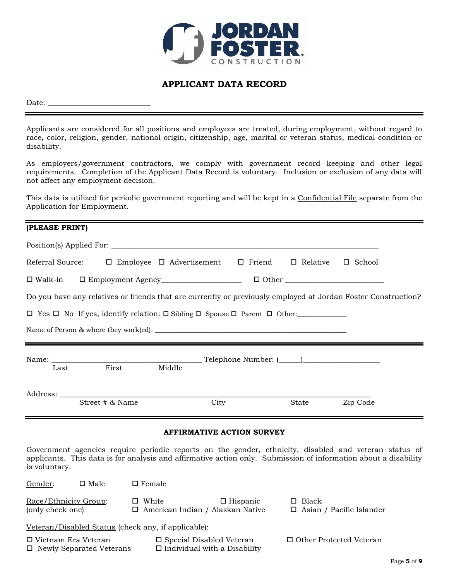

#### **APPLICANT DATA RECORD**

Date:  $\_$ 

Applicants are considered for all positions and employees are treated, during employment, without regard to race, color, religion, gender, national origin, citizenship, age, marital or veteran status, medical condition or disability.

As employers/government contractors, we comply with government record keeping and other legal requirements. Completion of the Applicant Data Record is voluntary. Inclusion or exclusion of any data will not affect any employment decision.

This data is utilized for periodic government reporting and will be kept in a Confidential File separate from the Application for Employment.

| (PLEASE PRINT)                                                                                                                                                                                                                            |                                                            |                                  |                                |                                 |  |
|-------------------------------------------------------------------------------------------------------------------------------------------------------------------------------------------------------------------------------------------|------------------------------------------------------------|----------------------------------|--------------------------------|---------------------------------|--|
|                                                                                                                                                                                                                                           |                                                            |                                  |                                |                                 |  |
| Referral Source:                                                                                                                                                                                                                          | $\Box$ Employee $\Box$ Advertisement $\Box$ Friend         |                                  | $\Box$ Relative                | $\Box$ School                   |  |
| $\square$ Walk-in                                                                                                                                                                                                                         | $\square$<br>Employment Agency                             |                                  |                                |                                 |  |
| Do you have any relatives or friends that are currently or previously employed at Jordan Foster Construction?                                                                                                                             |                                                            |                                  |                                |                                 |  |
| $\Box$ Yes $\Box$ No If yes, identify relation: $\Box$ Sibling $\Box$ Spouse $\Box$ Parent $\Box$ Other:                                                                                                                                  |                                                            |                                  |                                |                                 |  |
|                                                                                                                                                                                                                                           |                                                            |                                  |                                |                                 |  |
| Last                                                                                                                                                                                                                                      | First Middle                                               |                                  |                                |                                 |  |
| Street # & Name                                                                                                                                                                                                                           |                                                            | City                             | State                          | Zip Code                        |  |
|                                                                                                                                                                                                                                           |                                                            | <b>AFFIRMATIVE ACTION SURVEY</b> |                                |                                 |  |
| Government agencies require periodic reports on the gender, ethnicity, disabled and veteran status of<br>applicants. This data is for analysis and affirmative action only. Submission of information about a disability<br>is voluntary. |                                                            |                                  |                                |                                 |  |
| $\square$ Male<br>Gender:                                                                                                                                                                                                                 | $\Box$ Female                                              |                                  |                                |                                 |  |
| Race/Ethnicity Group:<br>(only check one)                                                                                                                                                                                                 | $\square$ White<br>$\Box$ American Indian / Alaskan Native | $\Box$ Hispanic                  | $\Box$ Black                   | $\Box$ Asian / Pacific Islander |  |
| Veteran/Disabled Status (check any, if applicable):                                                                                                                                                                                       |                                                            |                                  |                                |                                 |  |
| □ Vietnam Era Veteran                                                                                                                                                                                                                     | $\square$ Special Disabled Veteran                         |                                  | $\Box$ Other Protected Veteran |                                 |  |

 $\Box$  Newly Separated Veterans  $\Box$  Individual with a Disability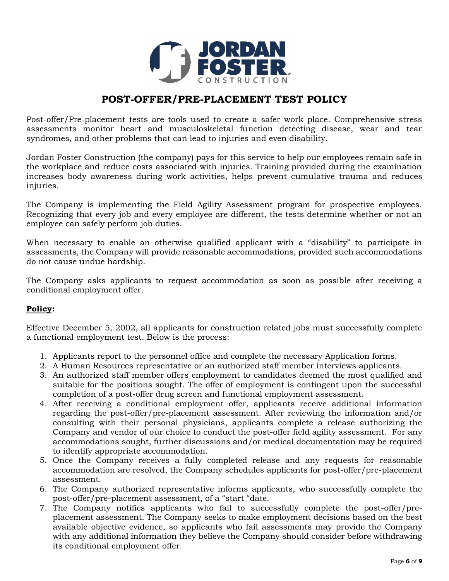

### **POST-OFFER/PRE-PLACEMENT TEST POLICY**

Post-offer/Pre-placement tests are tools used to create a safer work place. Comprehensive stress assessments monitor heart and musculoskeletal function detecting disease, wear and tear syndromes, and other problems that can lead to injuries and even disability.

Jordan Foster Construction (the company) pays for this service to help our employees remain safe in the workplace and reduce costs associated with injuries. Training provided during the examination increases body awareness during work activities, helps prevent cumulative trauma and reduces injuries.

The Company is implementing the Field Agility Assessment program for prospective employees. Recognizing that every job and every employee are different, the tests determine whether or not an employee can safely perform job duties.

When necessary to enable an otherwise qualified applicant with a "disability" to participate in assessments, the Company will provide reasonable accommodations, provided such accommodations do not cause undue hardship.

The Company asks applicants to request accommodation as soon as possible after receiving a conditional employment offer.

#### **Policy:**

Effective December 5, 2002, all applicants for construction related jobs must successfully complete a functional employment test. Below is the process:

- 1. Applicants report to the personnel office and complete the necessary Application forms.
- 2. A Human Resources representative or an authorized staff member interviews applicants.
- 3. An authorized staff member offers employment to candidates deemed the most qualified and suitable for the positions sought. The offer of employment is contingent upon the successful completion of a post-offer drug screen and functional employment assessment.
- 4. After receiving a conditional employment offer, applicants receive additional information regarding the post-offer/pre-placement assessment. After reviewing the information and/or consulting with their personal physicians, applicants complete a release authorizing the Company and vendor of our choice to conduct the post-offer field agility assessment. For any accommodations sought, further discussions and/or medical documentation may be required to identify appropriate accommodation.
- 5. Once the Company receives a fully completed release and any requests for reasonable accommodation are resolved, the Company schedules applicants for post-offer/pre-placement assessment.
- 6. The Company authorized representative informs applicants, who successfully complete the post-offer/pre-placement assessment, of a "start "date.
- 7. The Company notifies applicants who fail to successfully complete the post-offer/preplacement assessment. The Company seeks to make employment decisions based on the best available objective evidence, so applicants who fail assessments may provide the Company with any additional information they believe the Company should consider before withdrawing its conditional employment offer.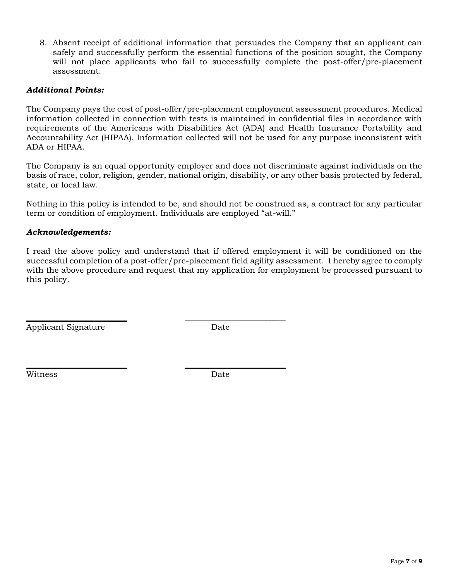8. Absent receipt of additional information that persuades the Company that an applicant can safely and successfully perform the essential functions of the position sought, the Company will not place applicants who fail to successfully complete the post-offer/pre-placement assessment.

#### *Additional Points:*

The Company pays the cost of post-offer/pre-placement employment assessment procedures. Medical information collected in connection with tests is maintained in confidential files in accordance with requirements of the Americans with Disabilities Act (ADA) and Health Insurance Portability and Accountability Act (HIPAA). Information collected will not be used for any purpose inconsistent with ADA or HIPAA.

The Company is an equal opportunity employer and does not discriminate against individuals on the basis of race, color, religion, gender, national origin, disability, or any other basis protected by federal, state, or local law.

Nothing in this policy is intended to be, and should not be construed as, a contract for any particular term or condition of employment. Individuals are employed "at-will."

#### *Acknowledgements:*

I read the above policy and understand that if offered employment it will be conditioned on the successful completion of a post-offer/pre-placement field agility assessment. I hereby agree to comply with the above procedure and request that my application for employment be processed pursuant to this policy.

Applicant Signature Date

\_\_\_\_\_\_\_\_\_\_\_\_\_\_\_\_\_\_\_\_\_\_\_\_\_ \_\_\_\_\_\_\_\_\_\_\_\_\_\_\_\_\_\_\_\_\_\_\_\_\_

\_\_\_\_\_\_\_\_\_\_\_\_\_\_\_\_\_\_\_\_\_\_\_\_\_ \_\_\_\_\_\_\_\_\_\_\_\_\_\_\_\_\_\_\_\_\_\_\_\_\_

Witness **Date**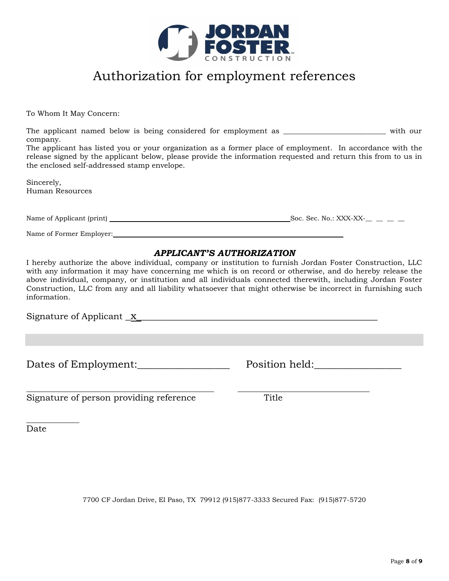

# Authorization for employment references

To Whom It May Concern:

The applicant named below is being considered for employment as \_\_\_\_\_\_\_\_\_\_\_\_\_\_\_\_\_\_\_\_\_\_\_\_\_\_\_\_ with our company.

The applicant has listed you or your organization as a former place of employment. In accordance with the release signed by the applicant below, please provide the information requested and return this from to us in the enclosed self-addressed stamp envelope.

Sincerely, Human Resources

Name of Applicant (print)  $\frac{1}{\sqrt{1-\frac{1}{n}}}$  Soc. Sec. No.: XXX-XX-\_ \_ \_ \_

Name of Former Employer:

#### *APPLICANT'S AUTHORIZATION*

I hereby authorize the above individual, company or institution to furnish Jordan Foster Construction, LLC with any information it may have concerning me which is on record or otherwise, and do hereby release the above individual, company, or institution and all individuals connected therewith, including Jordan Foster Construction, LLC from any and all liability whatsoever that might otherwise be incorrect in furnishing such information.

Signature of Applicant  $x$ 

Dates of Employment:\_\_\_\_\_\_\_\_\_\_\_\_\_\_\_\_\_\_ Position held:\_\_\_\_\_\_\_\_\_\_\_\_\_\_\_\_\_

Signature of person providing reference Title

Date

7700 CF Jordan Drive, El Paso, TX 79912 (915)877-3333 Secured Fax: (915)877-5720

i<br>L